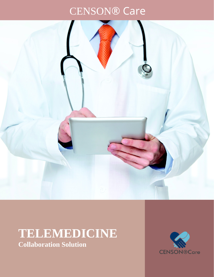# CENSON® Care



## **TELEMEDICINE Collaboration Solution**